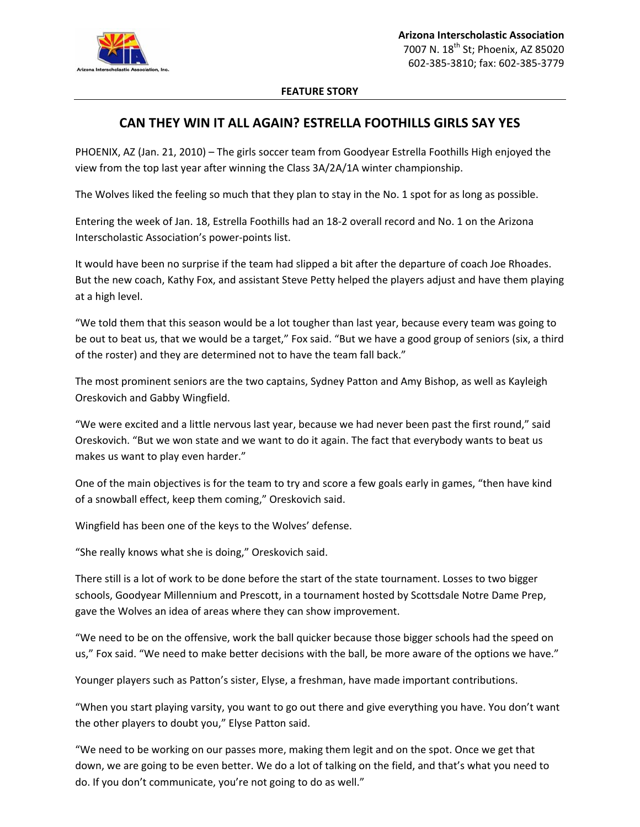

## **FEATURE STORY**

## **CAN THEY WIN IT ALL AGAIN? ESTRELLA FOOTHILLS GIRLS SAY YES**

PHOENIX, AZ (Jan. 21, 2010) – The girls soccer team from Goodyear Estrella Foothills High enjoyed the view from the top last year after winning the Class 3A/2A/1A winter championship.

The Wolves liked the feeling so much that they plan to stay in the No. 1 spot for as long as possible.

Entering the week of Jan. 18, Estrella Foothills had an 18‐2 overall record and No. 1 on the Arizona Interscholastic Association's power‐points list.

It would have been no surprise if the team had slipped a bit after the departure of coach Joe Rhoades. But the new coach, Kathy Fox, and assistant Steve Petty helped the players adjust and have them playing at a high level.

"We told them that this season would be a lot tougher than last year, because every team was going to be out to beat us, that we would be a target," Fox said. "But we have a good group of seniors (six, a third of the roster) and they are determined not to have the team fall back."

The most prominent seniors are the two captains, Sydney Patton and Amy Bishop, as well as Kayleigh Oreskovich and Gabby Wingfield.

"We were excited and a little nervous last year, because we had never been past the first round," said Oreskovich. "But we won state and we want to do it again. The fact that everybody wants to beat us makes us want to play even harder."

One of the main objectives is for the team to try and score a few goals early in games, "then have kind of a snowball effect, keep them coming," Oreskovich said.

Wingfield has been one of the keys to the Wolves' defense.

"She really knows what she is doing," Oreskovich said.

There still is a lot of work to be done before the start of the state tournament. Losses to two bigger schools, Goodyear Millennium and Prescott, in a tournament hosted by Scottsdale Notre Dame Prep, gave the Wolves an idea of areas where they can show improvement.

"We need to be on the offensive, work the ball quicker because those bigger schools had the speed on us," Fox said. "We need to make better decisions with the ball, be more aware of the options we have."

Younger players such as Patton's sister, Elyse, a freshman, have made important contributions.

"When you start playing varsity, you want to go out there and give everything you have. You don't want the other players to doubt you," Elyse Patton said.

"We need to be working on our passes more, making them legit and on the spot. Once we get that down, we are going to be even better. We do a lot of talking on the field, and that's what you need to do. If you don't communicate, you're not going to do as well."